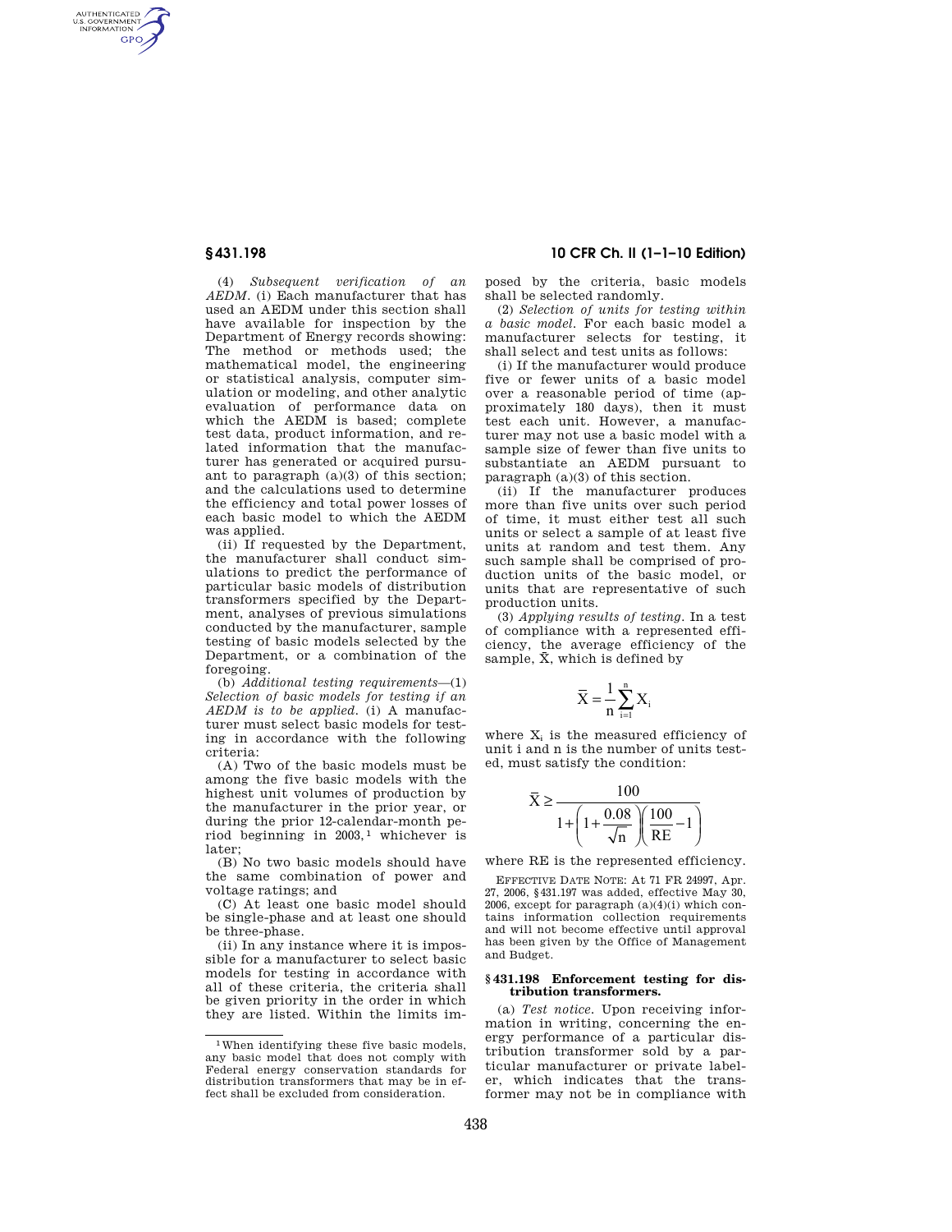AUTHENTICATED<br>U.S. GOVERNMENT<br>INFORMATION GPO

> (4) *Subsequent verification of an AEDM.* (i) Each manufacturer that has used an AEDM under this section shall have available for inspection by the Department of Energy records showing: The method or methods used; the mathematical model, the engineering or statistical analysis, computer simulation or modeling, and other analytic evaluation of performance data on which the AEDM is based; complete test data, product information, and related information that the manufacturer has generated or acquired pursuant to paragraph (a)(3) of this section; and the calculations used to determine the efficiency and total power losses of each basic model to which the AEDM was applied.

> (ii) If requested by the Department, the manufacturer shall conduct simulations to predict the performance of particular basic models of distribution transformers specified by the Department, analyses of previous simulations conducted by the manufacturer, sample testing of basic models selected by the Department, or a combination of the foregoing.

> (b) *Additional testing requirements*—(1) *Selection of basic models for testing if an AEDM is to be applied.* (i) A manufacturer must select basic models for testing in accordance with the following criteria:

> (A) Two of the basic models must be among the five basic models with the highest unit volumes of production by the manufacturer in the prior year, or during the prior 12-calendar-month period beginning in 2003, 1 whichever is later;

> (B) No two basic models should have the same combination of power and voltage ratings; and

> (C) At least one basic model should be single-phase and at least one should be three-phase.

> (ii) In any instance where it is impossible for a manufacturer to select basic models for testing in accordance with all of these criteria, the criteria shall be given priority in the order in which they are listed. Within the limits im-

# **§ 431.198 10 CFR Ch. II (1–1–10 Edition)**

posed by the criteria, basic models shall be selected randomly.

(2) *Selection of units for testing within a basic model.* For each basic model a manufacturer selects for testing, it shall select and test units as follows:

(i) If the manufacturer would produce five or fewer units of a basic model over a reasonable period of time (approximately 180 days), then it must test each unit. However, a manufacturer may not use a basic model with a sample size of fewer than five units to substantiate an AEDM pursuant to paragraph (a)(3) of this section.

(ii) If the manufacturer produces more than five units over such period of time, it must either test all such units or select a sample of at least five units at random and test them. Any such sample shall be comprised of production units of the basic model, or units that are representative of such production units.

(3) *Applying results of testing.* In a test of compliance with a represented efficiency, the average efficiency of the sample,  $\bar{X}$ , which is defined by

$$
\overline{X} = \frac{1}{n} \sum_{i=1}^n X_i
$$

where  $X_i$  is the measured efficiency of unit i and n is the number of units tested, must satisfy the condition:

$$
\bar{X} \ge \frac{100}{1 + \left(1 + \frac{0.08}{\sqrt{n}}\right)\left(\frac{100}{RE} - 1\right)}
$$

where RE is the represented efficiency.

EFFECTIVE DATE NOTE: At 71 FR 24997, Apr. 27, 2006, §431.197 was added, effective May 30, 2006, except for paragraph  $(a)(4)(i)$  which contains information collection requirements and will not become effective until approval has been given by the Office of Management and Budget.

## **§ 431.198 Enforcement testing for distribution transformers.**

(a) *Test notice.* Upon receiving information in writing, concerning the energy performance of a particular distribution transformer sold by a particular manufacturer or private labeler, which indicates that the transformer may not be in compliance with

<sup>1</sup>When identifying these five basic models, any basic model that does not comply with Federal energy conservation standards for distribution transformers that may be in effect shall be excluded from consideration.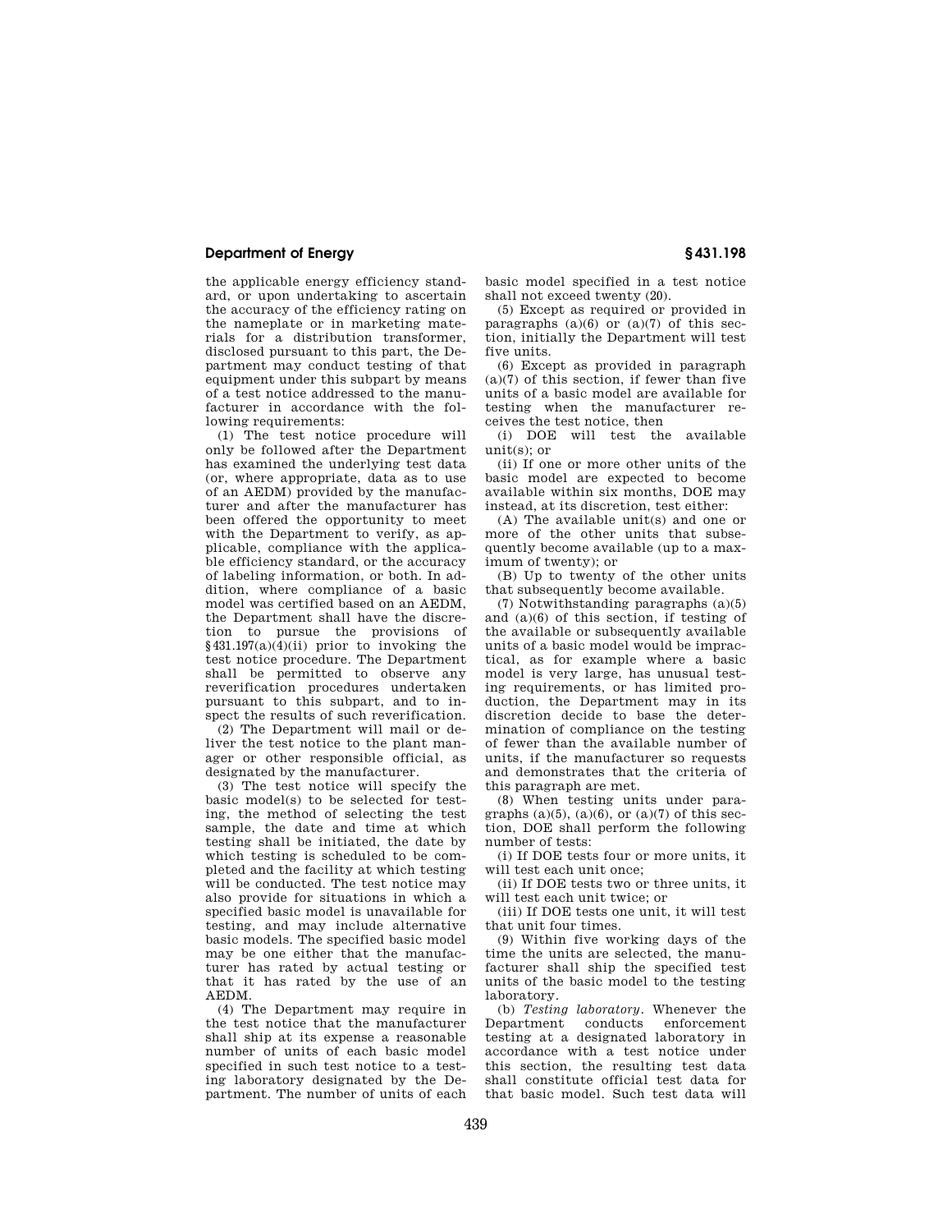# **Department of Energy § 431.198**

the applicable energy efficiency standard, or upon undertaking to ascertain the accuracy of the efficiency rating on the nameplate or in marketing materials for a distribution transformer, disclosed pursuant to this part, the Department may conduct testing of that equipment under this subpart by means of a test notice addressed to the manufacturer in accordance with the following requirements:

(1) The test notice procedure will only be followed after the Department has examined the underlying test data (or, where appropriate, data as to use of an AEDM) provided by the manufacturer and after the manufacturer has been offered the opportunity to meet with the Department to verify, as applicable, compliance with the applicable efficiency standard, or the accuracy of labeling information, or both. In addition, where compliance of a basic model was certified based on an AEDM, the Department shall have the discretion to pursue the provisions of §431.197(a)(4)(ii) prior to invoking the test notice procedure. The Department shall be permitted to observe any reverification procedures undertaken pursuant to this subpart, and to inspect the results of such reverification.

(2) The Department will mail or deliver the test notice to the plant manager or other responsible official, as designated by the manufacturer.

(3) The test notice will specify the basic model(s) to be selected for testing, the method of selecting the test sample, the date and time at which testing shall be initiated, the date by which testing is scheduled to be completed and the facility at which testing will be conducted. The test notice may also provide for situations in which a specified basic model is unavailable for testing, and may include alternative basic models. The specified basic model may be one either that the manufacturer has rated by actual testing or that it has rated by the use of an AEDM.

(4) The Department may require in the test notice that the manufacturer shall ship at its expense a reasonable number of units of each basic model specified in such test notice to a testing laboratory designated by the Department. The number of units of each

basic model specified in a test notice shall not exceed twenty (20).

(5) Except as required or provided in paragraphs  $(a)(6)$  or  $(a)(7)$  of this section, initially the Department will test five units.

(6) Except as provided in paragraph  $(a)(7)$  of this section, if fewer than five units of a basic model are available for testing when the manufacturer receives the test notice, then

(i) DOE will test the available unit(s); or

(ii) If one or more other units of the basic model are expected to become available within six months, DOE may instead, at its discretion, test either:

(A) The available unit(s) and one or more of the other units that subsequently become available (up to a maximum of twenty); or

(B) Up to twenty of the other units that subsequently become available.

(7) Notwithstanding paragraphs (a)(5) and (a)(6) of this section, if testing of the available or subsequently available units of a basic model would be impractical, as for example where a basic model is very large, has unusual testing requirements, or has limited production, the Department may in its discretion decide to base the determination of compliance on the testing of fewer than the available number of units, if the manufacturer so requests and demonstrates that the criteria of this paragraph are met.

(8) When testing units under paragraphs  $(a)(5)$ ,  $(a)(6)$ , or  $(a)(7)$  of this section, DOE shall perform the following number of tests:

(i) If DOE tests four or more units, it will test each unit once;

(ii) If DOE tests two or three units, it will test each unit twice; or

(iii) If DOE tests one unit, it will test that unit four times.

(9) Within five working days of the time the units are selected, the manufacturer shall ship the specified test units of the basic model to the testing laboratory.

(b) *Testing laboratory.* Whenever the enforcement testing at a designated laboratory in accordance with a test notice under this section, the resulting test data shall constitute official test data for that basic model. Such test data will